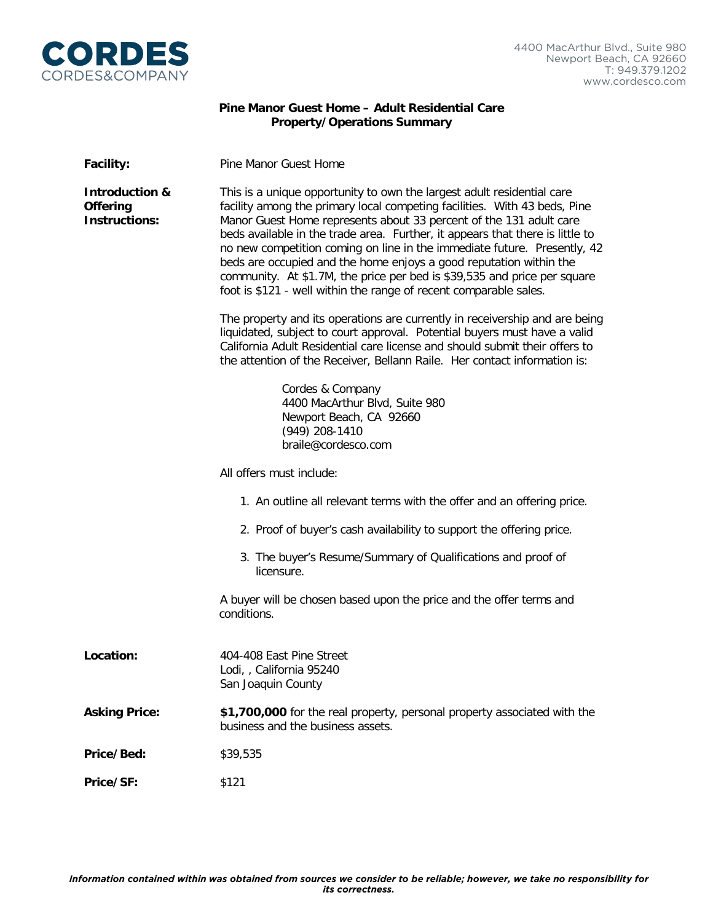

## **Pine Manor Guest Home – Adult Residential Care Property/Operations Summary**

| <b>Facility:</b>                                                     | Pine Manor Guest Home                                                                                                                                                                                                                                                                                                                                                                                                                                                                                                                                                                                         |
|----------------------------------------------------------------------|---------------------------------------------------------------------------------------------------------------------------------------------------------------------------------------------------------------------------------------------------------------------------------------------------------------------------------------------------------------------------------------------------------------------------------------------------------------------------------------------------------------------------------------------------------------------------------------------------------------|
| <b>Introduction &amp;</b><br><b>Offering</b><br><b>Instructions:</b> | This is a unique opportunity to own the largest adult residential care<br>facility among the primary local competing facilities. With 43 beds, Pine<br>Manor Guest Home represents about 33 percent of the 131 adult care<br>beds available in the trade area. Further, it appears that there is little to<br>no new competition coming on line in the immediate future. Presently, 42<br>beds are occupied and the home enjoys a good reputation within the<br>community. At \$1.7M, the price per bed is \$39,535 and price per square<br>foot is \$121 - well within the range of recent comparable sales. |
|                                                                      | The property and its operations are currently in receivership and are being<br>liquidated, subject to court approval. Potential buyers must have a valid<br>California Adult Residential care license and should submit their offers to<br>the attention of the Receiver, Bellann Raile. Her contact information is:                                                                                                                                                                                                                                                                                          |
|                                                                      | Cordes & Company<br>4400 MacArthur Blvd, Suite 980<br>Newport Beach, CA 92660<br>$(949)$ 208-1410<br>braile@cordesco.com                                                                                                                                                                                                                                                                                                                                                                                                                                                                                      |
|                                                                      | All offers must include:                                                                                                                                                                                                                                                                                                                                                                                                                                                                                                                                                                                      |
|                                                                      | 1. An outline all relevant terms with the offer and an offering price.                                                                                                                                                                                                                                                                                                                                                                                                                                                                                                                                        |
|                                                                      | 2. Proof of buyer's cash availability to support the offering price.                                                                                                                                                                                                                                                                                                                                                                                                                                                                                                                                          |
|                                                                      | 3. The buyer's Resume/Summary of Qualifications and proof of<br>licensure.                                                                                                                                                                                                                                                                                                                                                                                                                                                                                                                                    |
|                                                                      | A buyer will be chosen based upon the price and the offer terms and<br>conditions.                                                                                                                                                                                                                                                                                                                                                                                                                                                                                                                            |
| Location:                                                            | 404-408 East Pine Street<br>Lodi, , California 95240<br>San Joaquin County                                                                                                                                                                                                                                                                                                                                                                                                                                                                                                                                    |
| <b>Asking Price:</b>                                                 | \$1,700,000 for the real property, personal property associated with the<br>business and the business assets.                                                                                                                                                                                                                                                                                                                                                                                                                                                                                                 |
| Price/Bed:                                                           | \$39,535                                                                                                                                                                                                                                                                                                                                                                                                                                                                                                                                                                                                      |
| Price/SF:                                                            | \$121                                                                                                                                                                                                                                                                                                                                                                                                                                                                                                                                                                                                         |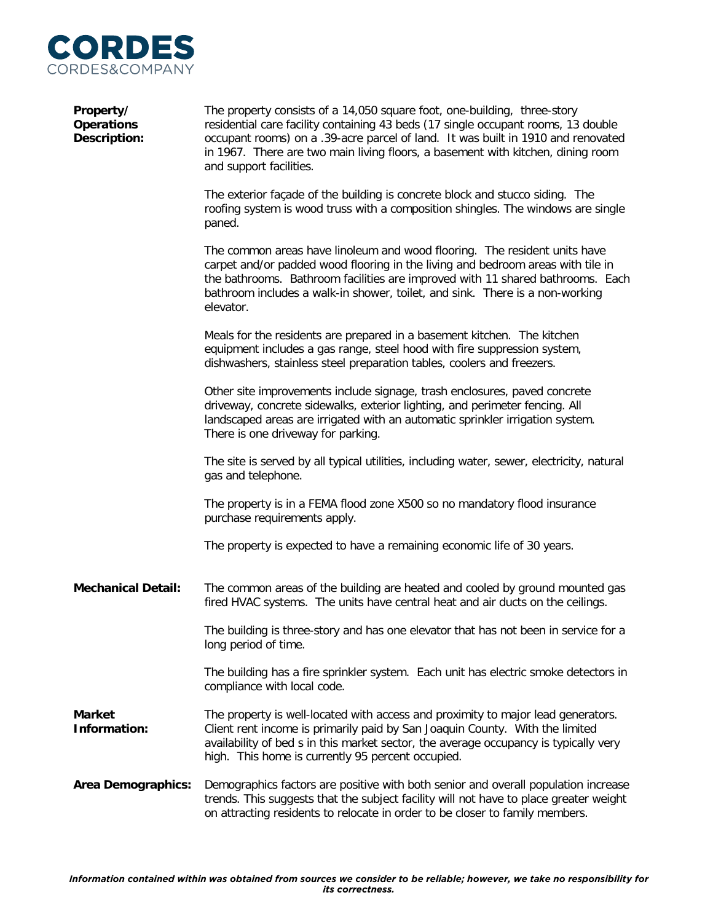

| Property/<br><b>Operations</b><br><b>Description:</b> | The property consists of a 14,050 square foot, one-building, three-story<br>residential care facility containing 43 beds (17 single occupant rooms, 13 double<br>occupant rooms) on a .39-acre parcel of land. It was built in 1910 and renovated<br>in 1967. There are two main living floors, a basement with kitchen, dining room<br>and support facilities. |
|-------------------------------------------------------|-----------------------------------------------------------------------------------------------------------------------------------------------------------------------------------------------------------------------------------------------------------------------------------------------------------------------------------------------------------------|
|                                                       | The exterior façade of the building is concrete block and stucco siding. The<br>roofing system is wood truss with a composition shingles. The windows are single<br>paned.                                                                                                                                                                                      |
|                                                       | The common areas have linoleum and wood flooring. The resident units have<br>carpet and/or padded wood flooring in the living and bedroom areas with tile in<br>the bathrooms. Bathroom facilities are improved with 11 shared bathrooms. Each<br>bathroom includes a walk-in shower, toilet, and sink. There is a non-working<br>elevator.                     |
|                                                       | Meals for the residents are prepared in a basement kitchen. The kitchen<br>equipment includes a gas range, steel hood with fire suppression system,<br>dishwashers, stainless steel preparation tables, coolers and freezers.                                                                                                                                   |
|                                                       | Other site improvements include signage, trash enclosures, paved concrete<br>driveway, concrete sidewalks, exterior lighting, and perimeter fencing. All<br>landscaped areas are irrigated with an automatic sprinkler irrigation system.<br>There is one driveway for parking.                                                                                 |
|                                                       | The site is served by all typical utilities, including water, sewer, electricity, natural<br>gas and telephone.                                                                                                                                                                                                                                                 |
|                                                       | The property is in a FEMA flood zone X500 so no mandatory flood insurance<br>purchase requirements apply.                                                                                                                                                                                                                                                       |
|                                                       | The property is expected to have a remaining economic life of 30 years.                                                                                                                                                                                                                                                                                         |
| <b>Mechanical Detail:</b>                             | The common areas of the building are heated and cooled by ground mounted gas<br>fired HVAC systems. The units have central heat and air ducts on the ceilings.                                                                                                                                                                                                  |
|                                                       | The building is three-story and has one elevator that has not been in service for a<br>long period of time.                                                                                                                                                                                                                                                     |
|                                                       | The building has a fire sprinkler system. Each unit has electric smoke detectors in<br>compliance with local code.                                                                                                                                                                                                                                              |
| <b>Market</b><br>Information:                         | The property is well-located with access and proximity to major lead generators.<br>Client rent income is primarily paid by San Joaquin County. With the limited<br>availability of bed s in this market sector, the average occupancy is typically very<br>high. This home is currently 95 percent occupied.                                                   |
| <b>Area Demographics:</b>                             | Demographics factors are positive with both senior and overall population increase<br>trends. This suggests that the subject facility will not have to place greater weight<br>on attracting residents to relocate in order to be closer to family members.                                                                                                     |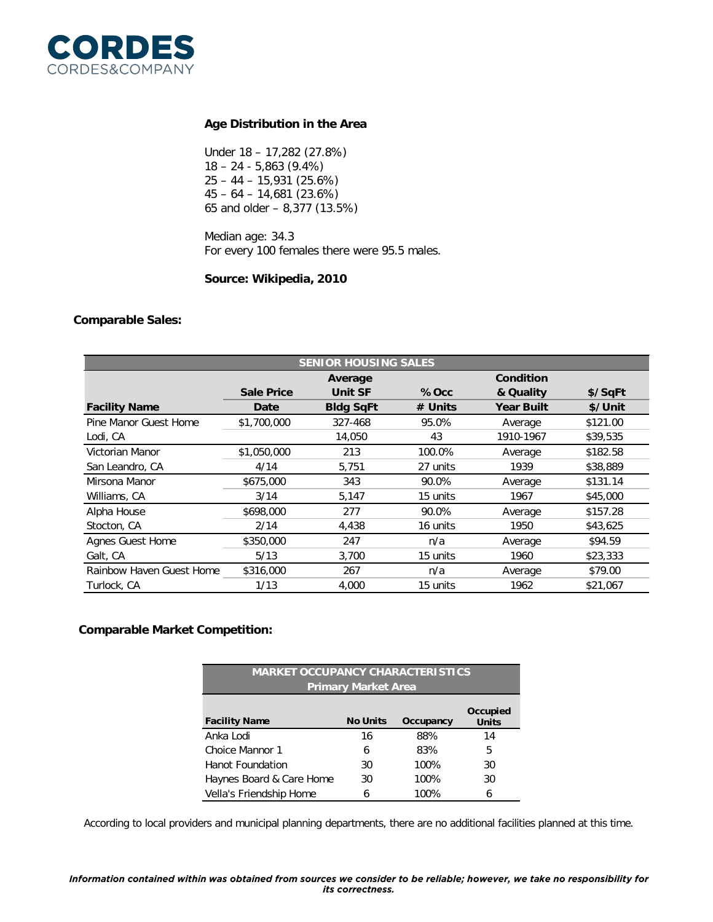

### **Age Distribution in the Area**

Under 18 – 17,282 (27.8%) 18 – 24 - 5,863 (9.4%) 25 – 44 – 15,931 (25.6%) 45 – 64 – 14,681 (23.6%) 65 and older – 8,377 (13.5%)

Median age: 34.3 For every 100 females there were 95.5 males.

#### **Source: Wikipedia, 2010**

#### **Comparable Sales:**

| <b>SENIOR HOUSING SALES</b> |                   |                  |           |                   |          |
|-----------------------------|-------------------|------------------|-----------|-------------------|----------|
|                             |                   | Average          |           | Condition         |          |
|                             | <b>Sale Price</b> | <b>Unit SF</b>   | $%$ Occ   | & Quality         | \$/SqFt  |
| <b>Facility Name</b>        | Date              | <b>Bldg SqFt</b> | $#$ Units | <b>Year Built</b> | \$/Unit  |
| Pine Manor Guest Home       | \$1,700,000       | 327-468          | 95.0%     | Average           | \$121.00 |
| Lodi, CA                    |                   | 14,050           | 43        | 1910-1967         | \$39,535 |
| Victorian Manor             | \$1,050,000       | 213              | 100.0%    | Average           | \$182.58 |
| San Leandro, CA             | 4/14              | 5,751            | 27 units  | 1939              | \$38,889 |
| Mirsona Manor               | \$675,000         | 343              | 90.0%     | Average           | \$131.14 |
| Williams, CA                | 3/14              | 5,147            | 15 units  | 1967              | \$45,000 |
| Alpha House                 | \$698,000         | 277              | 90.0%     | Average           | \$157.28 |
| Stocton, CA                 | 2/14              | 4,438            | 16 units  | 1950              | \$43,625 |
| <b>Agnes Guest Home</b>     | \$350,000         | 247              | n/a       | Average           | \$94.59  |
| Galt, CA                    | 5/13              | 3,700            | 15 units  | 1960              | \$23,333 |
| Rainbow Haven Guest Home    | \$316,000         | 267              | n/a       | Average           | \$79.00  |
| Turlock, CA                 | 1/13              | 4,000            | 15 units  | 1962              | \$21,067 |

#### **Comparable Market Competition:**

| <b>MARKET OCCUPANCY CHARACTERISTICS</b> |                 |           |                          |  |  |
|-----------------------------------------|-----------------|-----------|--------------------------|--|--|
| <b>Primary Market Area</b>              |                 |           |                          |  |  |
| <b>Facility Name</b>                    | <b>No Units</b> | Occupancy | Occupied<br><b>Units</b> |  |  |
| Anka Lodi                               | 16              | 88%       | 14                       |  |  |
| Choice Mannor 1                         | 6               | 83%       | 5                        |  |  |
| <b>Hanot Foundation</b>                 | 30              | 100%      | 30                       |  |  |
| Haynes Board & Care Home                | 30              | 100%      | 30                       |  |  |
| Vella's Friendship Home                 | 6               | 100%      | 6                        |  |  |

According to local providers and municipal planning departments, there are no additional facilities planned at this time.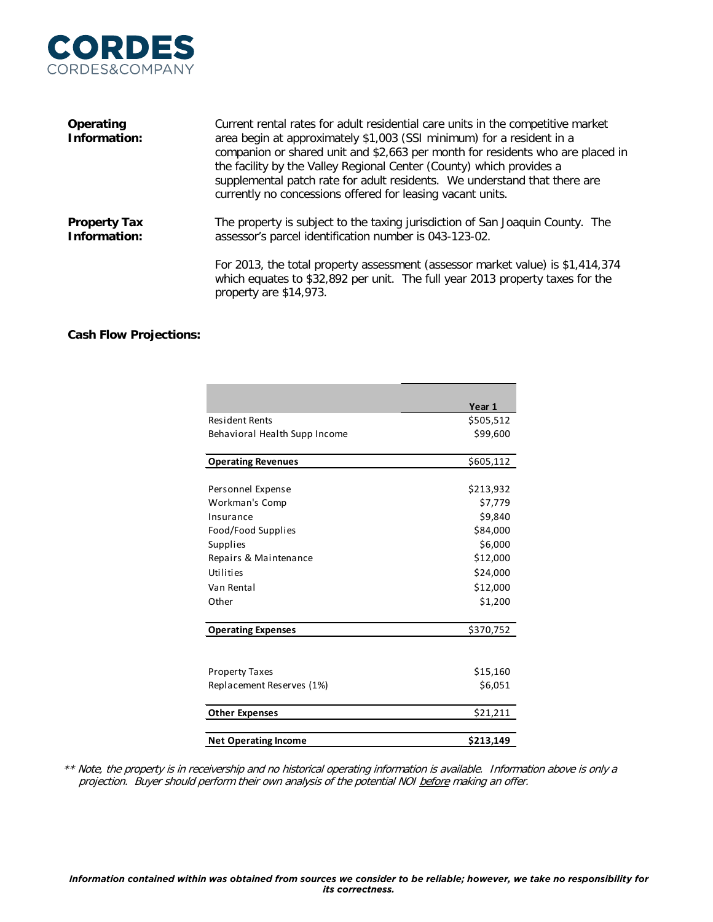

| Operating<br>Information:           | Current rental rates for adult residential care units in the competitive market<br>area begin at approximately \$1,003 (SSI minimum) for a resident in a<br>companion or shared unit and \$2,663 per month for residents who are placed in<br>the facility by the Valley Regional Center (County) which provides a<br>supplemental patch rate for adult residents. We understand that there are<br>currently no concessions offered for leasing vacant units. |
|-------------------------------------|---------------------------------------------------------------------------------------------------------------------------------------------------------------------------------------------------------------------------------------------------------------------------------------------------------------------------------------------------------------------------------------------------------------------------------------------------------------|
| <b>Property Tax</b><br>Information: | The property is subject to the taxing jurisdiction of San Joaquin County. The<br>assessor's parcel identification number is 043-123-02.<br>For 2013, the total property assessment (assessor market value) is \$1,414,374                                                                                                                                                                                                                                     |
|                                     | which equates to \$32,892 per unit. The full year 2013 property taxes for the<br>property are \$14,973.                                                                                                                                                                                                                                                                                                                                                       |

## **Cash Flow Projections:**

|                               | Year 1    |
|-------------------------------|-----------|
| <b>Resident Rents</b>         | \$505,512 |
| Behavioral Health Supp Income | \$99,600  |
| <b>Operating Revenues</b>     | \$605,112 |
|                               |           |
| Personnel Expense             | \$213,932 |
| Workman's Comp                | \$7,779   |
| Insurance                     | \$9,840   |
| Food/Food Supplies            | \$84,000  |
| Supplies                      | \$6,000   |
| Repairs & Maintenance         | \$12,000  |
| Utilities                     | \$24,000  |
| Van Rental                    | \$12,000  |
| Other                         | \$1,200   |
| <b>Operating Expenses</b>     | \$370,752 |
|                               |           |
| <b>Property Taxes</b>         | \$15,160  |
| Replacement Reserves (1%)     | \$6,051   |
| <b>Other Expenses</b>         | \$21,211  |
| <b>Net Operating Income</b>   | \$213,149 |

\*\* Note, the property is in receivership and no historical operating information is available. Information above is only a projection. Buyer should perform their own analysis of the potential NOI before making an offer.